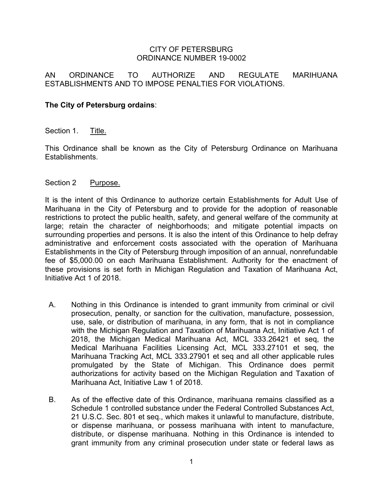### CITY OF PETERSBURG ORDINANCE NUMBER 19-0002

# AN ORDINANCE TO AUTHORIZE AND REGULATE MARIHUANA ESTABLISHMENTS AND TO IMPOSE PENALTIES FOR VIOLATIONS.

## **The City of Petersburg ordains**:

#### Section 1. Title.

This Ordinance shall be known as the City of Petersburg Ordinance on Marihuana Establishments.

#### Section 2 Purpose.

It is the intent of this Ordinance to authorize certain Establishments for Adult Use of Marihuana in the City of Petersburg and to provide for the adoption of reasonable restrictions to protect the public health, safety, and general welfare of the community at large; retain the character of neighborhoods; and mitigate potential impacts on surrounding properties and persons. It is also the intent of this Ordinance to help defray administrative and enforcement costs associated with the operation of Marihuana Establishments in the City of Petersburg through imposition of an annual, nonrefundable fee of \$5,000.00 on each Marihuana Establishment. Authority for the enactment of these provisions is set forth in Michigan Regulation and Taxation of Marihuana Act, Initiative Act 1 of 2018.

- A. Nothing in this Ordinance is intended to grant immunity from criminal or civil prosecution, penalty, or sanction for the cultivation, manufacture, possession, use, sale, or distribution of marihuana, in any form, that is not in compliance with the Michigan Regulation and Taxation of Marihuana Act, Initiative Act 1 of 2018, the Michigan Medical Marihuana Act, MCL 333.26421 et seq, the Medical Marihuana Facilities Licensing Act, MCL 333.27101 et seq, the Marihuana Tracking Act, MCL 333.27901 et seq and all other applicable rules promulgated by the State of Michigan. This Ordinance does permit authorizations for activity based on the Michigan Regulation and Taxation of Marihuana Act, Initiative Law 1 of 2018.
- B. As of the effective date of this Ordinance, marihuana remains classified as a Schedule 1 controlled substance under the Federal Controlled Substances Act, 21 U.S.C. Sec. 801 et seq., which makes it unlawful to manufacture, distribute, or dispense marihuana, or possess marihuana with intent to manufacture, distribute, or dispense marihuana. Nothing in this Ordinance is intended to grant immunity from any criminal prosecution under state or federal laws as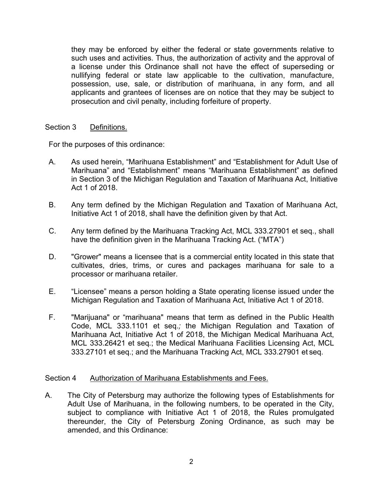they may be enforced by either the federal or state governments relative to such uses and activities. Thus, the authorization of activity and the approval of a license under this Ordinance shall not have the effect of superseding or nullifying federal or state law applicable to the cultivation, manufacture, possession, use, sale, or distribution of marihuana, in any form, and all applicants and grantees of licenses are on notice that they may be subject to prosecution and civil penalty, including forfeiture of property.

## Section 3 Definitions.

For the purposes of this ordinance:

- A. As used herein, "Marihuana Establishment" and "Establishment for Adult Use of Marihuana" and "Establishment" means "Marihuana Establishment" as defined in Section 3 of the Michigan Regulation and Taxation of Marihuana Act, Initiative Act 1 of 2018.
- B. Any term defined by the Michigan Regulation and Taxation of Marihuana Act, Initiative Act 1 of 2018, shall have the definition given by that Act.
- C. Any term defined by the Marihuana Tracking Act, MCL 333.27901 et seq., shall have the definition given in the Marihuana Tracking Act. ("MTA")
- D. "Grower" means a licensee that is a commercial entity located in this state that cultivates, dries, trims, or cures and packages marihuana for sale to a processor or marihuana retailer.
- E. "Licensee" means a person holding a State operating license issued under the Michigan Regulation and Taxation of Marihuana Act, Initiative Act 1 of 2018.
- F. "Marijuana" or "marihuana" means that term as defined in the Public Health Code, MCL 333.1101 et seq.*;* the Michigan Regulation and Taxation of Marihuana Act, Initiative Act 1 of 2018, the Michigan Medical Marihuana Act, MCL 333.26421 et seq*.*; the Medical Marihuana Facilities Licensing Act, MCL 333.27101 et seq.; and the Marihuana Tracking Act, MCL 333.27901 et seq.

## Section 4 Authorization of Marihuana Establishments and Fees.

A. The City of Petersburg may authorize the following types of Establishments for Adult Use of Marihuana, in the following numbers, to be operated in the City, subject to compliance with Initiative Act 1 of 2018, the Rules promulgated thereunder, the City of Petersburg Zoning Ordinance, as such may be amended, and this Ordinance: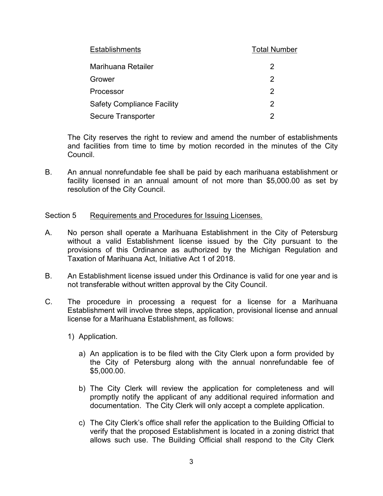| <b>Establishments</b>             | <b>Total Number</b> |
|-----------------------------------|---------------------|
| Marihuana Retailer                | 2                   |
| Grower                            | 2                   |
| Processor                         | 2                   |
| <b>Safety Compliance Facility</b> | 2                   |
| <b>Secure Transporter</b>         |                     |

The City reserves the right to review and amend the number of establishments and facilities from time to time by motion recorded in the minutes of the City Council.

B. An annual nonrefundable fee shall be paid by each marihuana establishment or facility licensed in an annual amount of not more than \$5,000.00 as set by resolution of the City Council.

### Section 5 Requirements and Procedures for Issuing Licenses.

- A. No person shall operate a Marihuana Establishment in the City of Petersburg without a valid Establishment license issued by the City pursuant to the provisions of this Ordinance as authorized by the Michigan Regulation and Taxation of Marihuana Act, Initiative Act 1 of 2018.
- B. An Establishment license issued under this Ordinance is valid for one year and is not transferable without written approval by the City Council.
- C. The procedure in processing a request for a license for a Marihuana Establishment will involve three steps, application, provisional license and annual license for a Marihuana Establishment, as follows:
	- 1) Application.
		- a) An application is to be filed with the City Clerk upon a form provided by the City of Petersburg along with the annual nonrefundable fee of \$5,000.00.
		- b) The City Clerk will review the application for completeness and will promptly notify the applicant of any additional required information and documentation. The City Clerk will only accept a complete application.
		- c) The City Clerk's office shall refer the application to the Building Official to verify that the proposed Establishment is located in a zoning district that allows such use. The Building Official shall respond to the City Clerk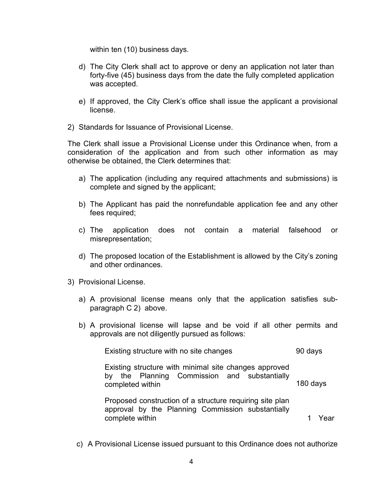within ten (10) business days.

- d) The City Clerk shall act to approve or deny an application not later than forty-five (45) business days from the date the fully completed application was accepted.
- e) If approved, the City Clerk's office shall issue the applicant a provisional license.
- 2) Standards for Issuance of Provisional License.

The Clerk shall issue a Provisional License under this Ordinance when, from a consideration of the application and from such other information as may otherwise be obtained, the Clerk determines that:

- a) The application (including any required attachments and submissions) is complete and signed by the applicant;
- b) The Applicant has paid the nonrefundable application fee and any other fees required;
- c) The application does not contain a material falsehood or misrepresentation;
- d) The proposed location of the Establishment is allowed by the City's zoning and other ordinances.
- 3) Provisional License.
	- a) A provisional license means only that the application satisfies subparagraph C 2) above.
	- b) A provisional license will lapse and be void if all other permits and approvals are not diligently pursued as follows:

Existing structure with no site changes **1998** 90 days Existing structure with minimal site changes approved by the Planning Commission and substantially completed within 180 days

Proposed construction of a structure requiring site plan approval by the Planning Commission substantially complete within **1** Near the state of the state of the state of the state of the state of the state of the state of the state of the state of the state of the state of the state of the state of the state of the state of th

c) A Provisional License issued pursuant to this Ordinance does not authorize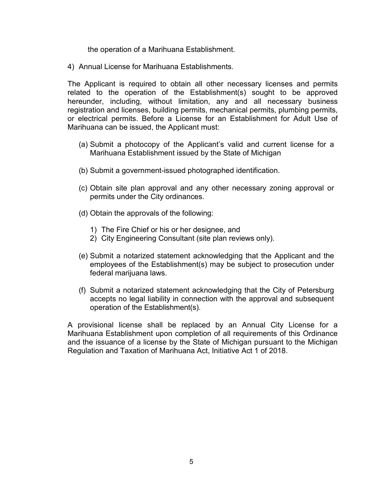the operation of a Marihuana Establishment.

4) Annual License for Marihuana Establishments.

The Applicant is required to obtain all other necessary licenses and permits related to the operation of the Establishment(s) sought to be approved hereunder, including, without limitation, any and all necessary business registration and licenses, building permits, mechanical permits, plumbing permits, or electrical permits. Before a License for an Establishment for Adult Use of Marihuana can be issued, the Applicant must:

- (a) Submit a photocopy of the Applicant's valid and current license for a Marihuana Establishment issued by the State of Michigan
- (b) Submit a government-issued photographed identification.
- (c) Obtain site plan approval and any other necessary zoning approval or permits under the City ordinances.
- (d) Obtain the approvals of the following:
	- 1) The Fire Chief or his or her designee, and
	- 2) City Engineering Consultant (site plan reviews only).
- (e) Submit a notarized statement acknowledging that the Applicant and the employees of the Establishment(s) may be subject to prosecution under federal marijuana laws.
- (f) Submit a notarized statement acknowledging that the City of Petersburg accepts no legal liability in connection with the approval and subsequent operation of the Establishment(s).

A provisional license shall be replaced by an Annual City License for a Marihuana Establishment upon completion of all requirements of this Ordinance and the issuance of a license by the State of Michigan pursuant to the Michigan Regulation and Taxation of Marihuana Act, Initiative Act 1 of 2018.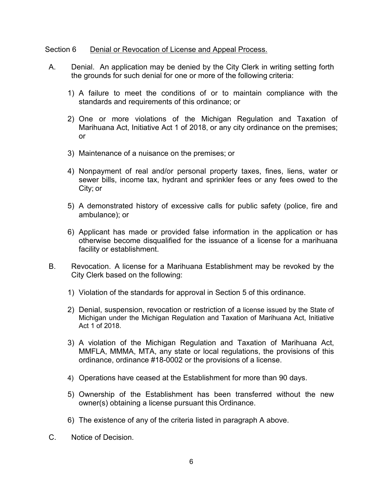### Section 6 Denial or Revocation of License and Appeal Process.

- A. Denial. An application may be denied by the City Clerk in writing setting forth the grounds for such denial for one or more of the following criteria:
	- 1) A failure to meet the conditions of or to maintain compliance with the standards and requirements of this ordinance; or
	- 2) One or more violations of the Michigan Regulation and Taxation of Marihuana Act, Initiative Act 1 of 2018, or any city ordinance on the premises; or
	- 3) Maintenance of a nuisance on the premises; or
	- 4) Nonpayment of real and/or personal property taxes, fines, liens, water or sewer bills, income tax, hydrant and sprinkler fees or any fees owed to the City; or
	- 5) A demonstrated history of excessive calls for public safety (police, fire and ambulance); or
	- 6) Applicant has made or provided false information in the application or has otherwise become disqualified for the issuance of a license for a marihuana facility or establishment.
- B. Revocation. A license for a Marihuana Establishment may be revoked by the City Clerk based on the following:
	- 1) Violation of the standards for approval in Section 5 of this ordinance.
	- 2) Denial, suspension, revocation or restriction of a license issued by the State of Michigan under the Michigan Regulation and Taxation of Marihuana Act, Initiative Act 1 of 2018.
	- 3) A violation of the Michigan Regulation and Taxation of Marihuana Act, MMFLA, MMMA, MTA, any state or local regulations, the provisions of this ordinance, ordinance #18-0002 or the provisions of a license.
	- 4) Operations have ceased at the Establishment for more than 90 days.
	- 5) Ownership of the Establishment has been transferred without the new owner(s) obtaining a license pursuant this Ordinance.
	- 6) The existence of any of the criteria listed in paragraph A above.
- C. Notice of Decision.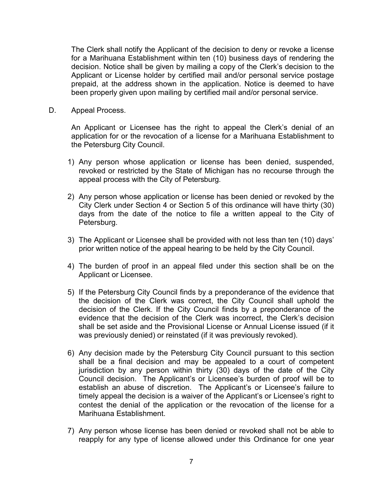The Clerk shall notify the Applicant of the decision to deny or revoke a license for a Marihuana Establishment within ten (10) business days of rendering the decision. Notice shall be given by mailing a copy of the Clerk's decision to the Applicant or License holder by certified mail and/or personal service postage prepaid, at the address shown in the application. Notice is deemed to have been properly given upon mailing by certified mail and/or personal service.

D. Appeal Process.

An Applicant or Licensee has the right to appeal the Clerk's denial of an application for or the revocation of a license for a Marihuana Establishment to the Petersburg City Council.

- 1) Any person whose application or license has been denied, suspended, revoked or restricted by the State of Michigan has no recourse through the appeal process with the City of Petersburg.
- 2) Any person whose application or license has been denied or revoked by the City Clerk under Section 4 or Section 5 of this ordinance will have thirty (30) days from the date of the notice to file a written appeal to the City of Petersburg.
- 3) The Applicant or Licensee shall be provided with not less than ten (10) days' prior written notice of the appeal hearing to be held by the City Council.
- 4) The burden of proof in an appeal filed under this section shall be on the Applicant or Licensee.
- 5) If the Petersburg City Council finds by a preponderance of the evidence that the decision of the Clerk was correct, the City Council shall uphold the decision of the Clerk. If the City Council finds by a preponderance of the evidence that the decision of the Clerk was incorrect, the Clerk's decision shall be set aside and the Provisional License or Annual License issued (if it was previously denied) or reinstated (if it was previously revoked).
- 6) Any decision made by the Petersburg City Council pursuant to this section shall be a final decision and may be appealed to a court of competent jurisdiction by any person within thirty (30) days of the date of the City Council decision. The Applicant's or Licensee's burden of proof will be to establish an abuse of discretion. The Applicant's or Licensee's failure to timely appeal the decision is a waiver of the Applicant's or Licensee's right to contest the denial of the application or the revocation of the license for a Marihuana Establishment.
- 7) Any person whose license has been denied or revoked shall not be able to reapply for any type of license allowed under this Ordinance for one year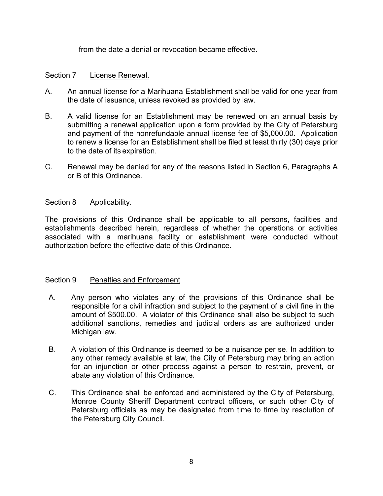from the date a denial or revocation became effective.

# Section 7 License Renewal.

- A. An annual license for a Marihuana Establishment shall be valid for one year from the date of issuance, unless revoked as provided by law.
- B. A valid license for an Establishment may be renewed on an annual basis by submitting a renewal application upon a form provided by the City of Petersburg and payment of the nonrefundable annual license fee of \$5,000.00. Application to renew a license for an Establishment shall be filed at least thirty (30) days prior to the date of its expiration.
- C. Renewal may be denied for any of the reasons listed in Section 6, Paragraphs A or B of this Ordinance.

## Section 8 Applicability.

The provisions of this Ordinance shall be applicable to all persons, facilities and establishments described herein, regardless of whether the operations or activities associated with a marihuana facility or establishment were conducted without authorization before the effective date of this Ordinance.

## Section 9 Penalties and Enforcement

- A. Any person who violates any of the provisions of this Ordinance shall be responsible for a civil infraction and subject to the payment of a civil fine in the amount of \$500.00. A violator of this Ordinance shall also be subject to such additional sanctions, remedies and judicial orders as are authorized under Michigan law.
- B. A violation of this Ordinance is deemed to be a nuisance per se. In addition to any other remedy available at law, the City of Petersburg may bring an action for an injunction or other process against a person to restrain, prevent, or abate any violation of this Ordinance.
- C. This Ordinance shall be enforced and administered by the City of Petersburg, Monroe County Sheriff Department contract officers, or such other City of Petersburg officials as may be designated from time to time by resolution of the Petersburg City Council.